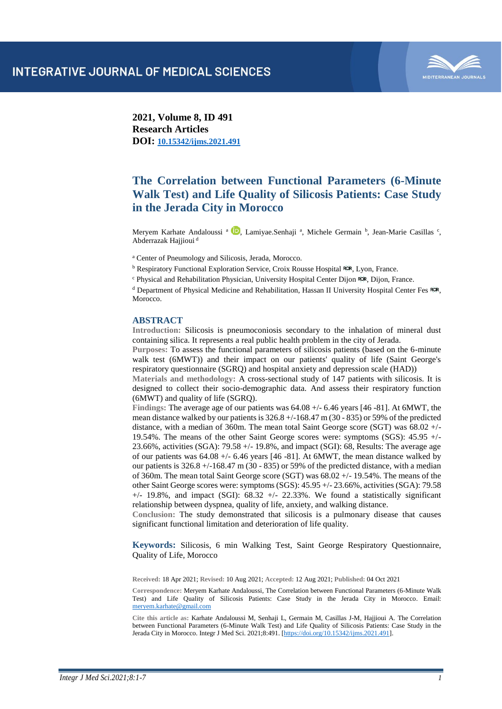

**2021, Volume 8, ID 491 Research Articles DOI: [10.15342/ijms.2021.491](https://doi.org/10.15342/ijms.2021.491)**

# **The Correlation between Functional Parameters (6-Minute Walk Test) and Life Quality of Silicosis Patients: Case Study in the Jerada City in Morocco**

Meryem Karhate Andaloussi <sup>a 1</sup>[,](https://orcid.org/0000-0002-8132-4853) Lamiyae.Senhaji <sup>a</sup>, Michele Germain <sup>b</sup>, Jean-Marie Casillas <sup>c</sup>, Abderrazak Hajjioui <sup>d</sup>

<sup>a</sup> Center of Pneumology and Silicosis, Jerada, Morocco.

<sup>b</sup> Respiratory Functional Exploration Service, Croix Rousse Hospital ROR, Lyon, France.

<sup>c</sup> Physical and Rehabilitation Physician, University Hospital Center Dijon ROR, Dijon, France.

<sup>d</sup> Department of Physical Medicine and Rehabilitation, Hassan II University Hospital Center Fes Rok, Morocco.

#### **ABSTRACT**

**Introduction:** Silicosis is pneumoconiosis secondary to the inhalation of mineral dust containing silica. It represents a real public health problem in the city of Jerada.

**Purposes:** To assess the functional parameters of silicosis patients (based on the 6-minute walk test (6MWT)) and their impact on our patients' quality of life (Saint George's respiratory questionnaire (SGRQ) and hospital anxiety and depression scale (HAD))

**Materials and methodology:** A cross-sectional study of 147 patients with silicosis. It is designed to collect their socio-demographic data. And assess their respiratory function (6MWT) and quality of life (SGRQ).

**Findings:** The average age of our patients was 64.08 +/- 6.46 years [46 -81]. At 6MWT, the mean distance walked by our patients is 326.8 +/-168.47 m (30 - 835) or 59% of the predicted distance, with a median of 360m. The mean total Saint George score (SGT) was 68.02 +/- 19.54%. The means of the other Saint George scores were: symptoms (SGS): 45.95 +/- 23.66%, activities (SGA): 79.58 +/- 19.8%, and impact (SGI): 68, Results: The average age of our patients was  $64.08 + (-6.46 \text{ years} [46 - 81]$ . At  $6\text{MWT}$ , the mean distance walked by our patients is  $326.8 + (-168.47 \text{ m} (30 - 835)$  or 59% of the predicted distance, with a median of 360m. The mean total Saint George score (SGT) was 68.02 +/- 19.54%. The means of the other Saint George scores were: symptoms (SGS): 45.95 +/- 23.66%, activities (SGA): 79.58  $+/-$  19.8%, and impact (SGI): 68.32  $+/-$  22.33%. We found a statistically significant relationship between dyspnea, quality of life, anxiety, and walking distance.

**Conclusion:** The study demonstrated that silicosis is a pulmonary disease that causes significant functional limitation and deterioration of life quality.

**Keywords:** Silicosis, 6 min Walking Test, Saint George Respiratory Questionnaire, Quality of Life, Morocco

**Received:** 18 Apr 2021; **Revised:** 10 Aug 2021; **Accepted:** 12 Aug 2021; **Published:** 04 Oct 2021

**Correspondence:** Meryem Karhate Andaloussi, The Correlation between Functional Parameters (6-Minute Walk Test) and Life Quality of Silicosis Patients: Case Study in the Jerada City in Morocco. Email: [meryem.karhate@gmail.com](mailto:meryem.karhate@gmail.com)

**Cite this article as:** Karhate Andaloussi M, Senhaji L, Germain M, Casillas J-M, Hajjioui A. The Correlation between Functional Parameters (6-Minute Walk Test) and Life Quality of Silicosis Patients: Case Study in the Jerada City in Morocco. Integr J Med Sci. 2021;8:491. [\[https://doi.org/10.15342/ijms.2021.491\]](https://doi.org/10.15342/ijms.2021.491).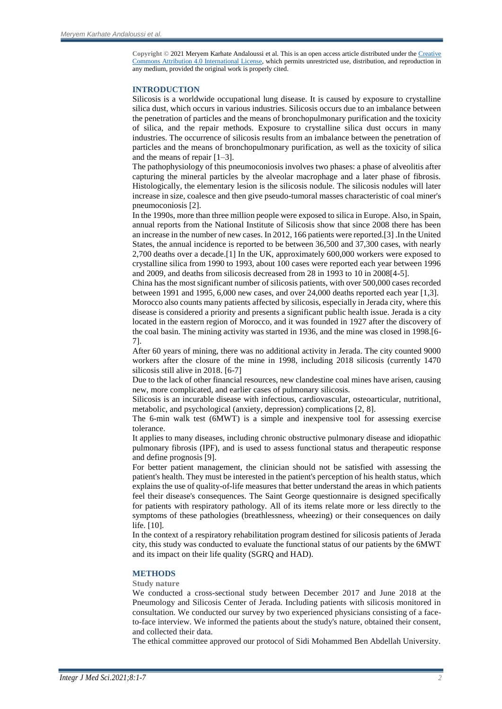**Copyright ©** 2021 Meryem Karhate Andaloussi et al. This is an open access article distributed under th[e Creative](https://creativecommons.org/licenses/by/4.0/)  [Commons Attribution 4.0 International License,](https://creativecommons.org/licenses/by/4.0/) which permits unrestricted use, distribution, and reproduction in any medium, provided the original work is properly cited.

#### **INTRODUCTION**

Silicosis is a worldwide occupational lung disease. It is caused by exposure to crystalline silica dust, which occurs in various industries. Silicosis occurs due to an imbalance between the penetration of particles and the means of bronchopulmonary purification and the toxicity of silica, and the repair methods. Exposure to crystalline silica dust occurs in many industries. The occurrence of silicosis results from an imbalance between the penetration of particles and the means of bronchopulmonary purification, as well as the toxicity of silica and the means of repair [1–3].

The pathophysiology of this pneumoconiosis involves two phases: a phase of alveolitis after capturing the mineral particles by the alveolar macrophage and a later phase of fibrosis. Histologically, the elementary lesion is the silicosis nodule. The silicosis nodules will later increase in size, coalesce and then give pseudo-tumoral masses characteristic of coal miner's pneumoconiosis [2].

In the 1990s, more than three million people were exposed to silica in Europe. Also, in Spain, annual reports from the National Institute of Silicosis show that since 2008 there has been an increase in the number of new cases. In 2012, 166 patients were reported.[3] .In the United States, the annual incidence is reported to be between 36,500 and 37,300 cases, with nearly 2,700 deaths over a decade.[1] In the UK, approximately 600,000 workers were exposed to crystalline silica from 1990 to 1993, about 100 cases were reported each year between 1996 and 2009, and deaths from silicosis decreased from 28 in 1993 to 10 in 2008[4-5].

China has the most significant number of silicosis patients, with over 500,000 cases recorded between 1991 and 1995, 6,000 new cases, and over 24,000 deaths reported each year [1,3].

Morocco also counts many patients affected by silicosis, especially in Jerada city, where this disease is considered a priority and presents a significant public health issue. Jerada is a city located in the eastern region of Morocco, and it was founded in 1927 after the discovery of the coal basin. The mining activity was started in 1936, and the mine was closed in 1998.[6- 7].

After 60 years of mining, there was no additional activity in Jerada. The city counted 9000 workers after the closure of the mine in 1998, including 2018 silicosis (currently 1470 silicosis still alive in 2018. [6-7]

Due to the lack of other financial resources, new clandestine coal mines have arisen, causing new, more complicated, and earlier cases of pulmonary silicosis.

Silicosis is an incurable disease with infectious, cardiovascular, osteoarticular, nutritional, metabolic, and psychological (anxiety, depression) complications [2, 8].

The 6-min walk test (6MWT) is a simple and inexpensive tool for assessing exercise tolerance.

It applies to many diseases, including chronic obstructive pulmonary disease and idiopathic pulmonary fibrosis (IPF), and is used to assess functional status and therapeutic response and define prognosis [9].

For better patient management, the clinician should not be satisfied with assessing the patient's health. They must be interested in the patient's perception of his health status, which explains the use of quality-of-life measures that better understand the areas in which patients feel their disease's consequences. The Saint George questionnaire is designed specifically for patients with respiratory pathology. All of its items relate more or less directly to the symptoms of these pathologies (breathlessness, wheezing) or their consequences on daily life. [10].

In the context of a respiratory rehabilitation program destined for silicosis patients of Jerada city, this study was conducted to evaluate the functional status of our patients by the 6MWT and its impact on their life quality (SGRQ and HAD).

#### **METHODS**

# **Study nature**

We conducted a cross-sectional study between December 2017 and June 2018 at the Pneumology and Silicosis Center of Jerada. Including patients with silicosis monitored in consultation. We conducted our survey by two experienced physicians consisting of a faceto-face interview. We informed the patients about the study's nature, obtained their consent, and collected their data.

The ethical committee approved our protocol of Sidi Mohammed Ben Abdellah University.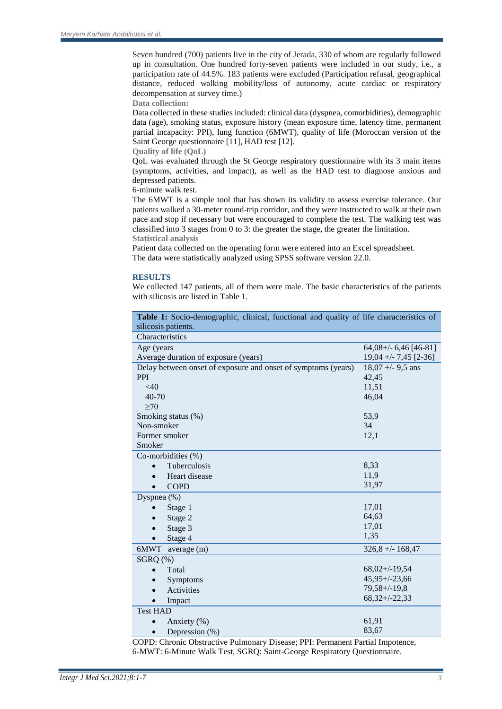Seven hundred (700) patients live in the city of Jerada, 330 of whom are regularly followed up in consultation. One hundred forty-seven patients were included in our study, i.e., a participation rate of 44.5%. 183 patients were excluded (Participation refusal, geographical distance, reduced walking mobility/loss of autonomy, acute cardiac or respiratory decompensation at survey time.)

**Data collection:**

Data collected in these studies included: clinical data (dyspnea, comorbidities), demographic data (age), smoking status, exposure history (mean exposure time, latency time, permanent partial incapacity: PPI), lung function (6MWT), quality of life (Moroccan version of the Saint George questionnaire [11], HAD test [12].

**Quality of life (QoL)**

QoL was evaluated through the St George respiratory questionnaire with its 3 main items (symptoms, activities, and impact), as well as the HAD test to diagnose anxious and depressed patients.

6-minute walk test.

The 6MWT is a simple tool that has shown its validity to assess exercise tolerance. Our patients walked a 30-meter round-trip corridor, and they were instructed to walk at their own pace and stop if necessary but were encouraged to complete the test. The walking test was classified into 3 stages from 0 to 3: the greater the stage, the greater the limitation. **Statistical analysis**

Patient data collected on the operating form were entered into an Excel spreadsheet. The data were statistically analyzed using SPSS software version 22.0.

# **RESULTS**

We collected 147 patients, all of them were male. The basic characteristics of the patients with silicosis are listed in Table 1.

| Table 1: Socio-demographic, clinical, functional and quality of life characteristics of |                        |
|-----------------------------------------------------------------------------------------|------------------------|
| silicosis patients.                                                                     |                        |
| Characteristics                                                                         |                        |
| Age (years                                                                              | $64,08+\{-6,46[46-81]$ |
| Average duration of exposure (years)                                                    | $19,04 + -7,45$ [2-36] |
| Delay between onset of exposure and onset of symptoms (years)                           | $18,07 + -9,5$ ans     |
| <b>PPI</b>                                                                              | 42,45                  |
| $<$ 40                                                                                  | 11,51                  |
| $40 - 70$                                                                               | 46,04                  |
| >70                                                                                     |                        |
| Smoking status (%)                                                                      | 53,9                   |
| Non-smoker                                                                              | 34                     |
| Former smoker                                                                           | 12,1                   |
| Smoker                                                                                  |                        |
| Co-morbidities (%)                                                                      |                        |
| Tuberculosis                                                                            | 8,33                   |
| Heart disease                                                                           | 11,9                   |
| <b>COPD</b>                                                                             | 31,97                  |
| Dyspnea (%)                                                                             |                        |
| Stage 1                                                                                 | 17,01                  |
| Stage 2                                                                                 | 64,63                  |
| Stage 3                                                                                 | 17,01                  |
| Stage 4                                                                                 | 1,35                   |
| 6MWT<br>average (m)                                                                     | $326,8 + - 168,47$     |
| $SGRQ$ $(\%)$                                                                           |                        |
| Total                                                                                   | $68,02+\frac{19}{54}$  |
| Symptoms<br>$\bullet$                                                                   | $45,95 + (-23,66)$     |
| <b>Activities</b>                                                                       | $79,58 + (-19,8)$      |
| Impact                                                                                  | $68,32+/-22,33$        |
| <b>Test HAD</b>                                                                         |                        |
| Anxiety (%)                                                                             | 61,91                  |
| Depression (%)                                                                          | 83,67                  |

COPD: Chronic Obstructive Pulmonary Disease; PPI: Permanent Partial Impotence, 6-MWT: 6-Minute Walk Test, SGRQ: Saint-George Respiratory Questionnaire.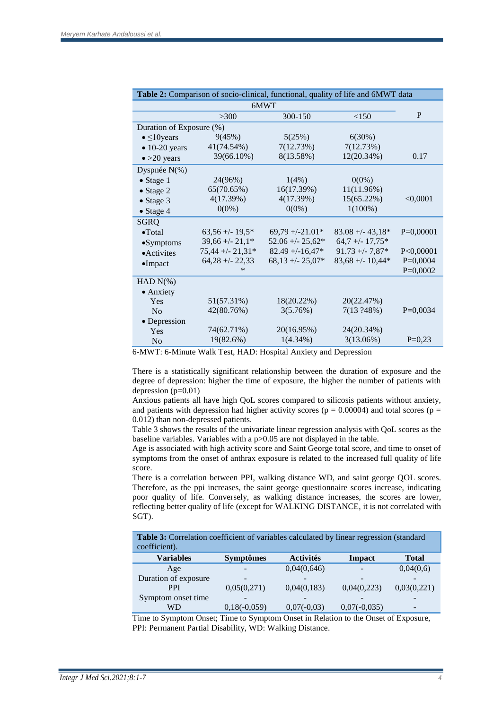| Table 2: Comparison of socio-clinical, functional, quality of life and 6MWT data |                    |                     |                    |             |  |  |  |
|----------------------------------------------------------------------------------|--------------------|---------------------|--------------------|-------------|--|--|--|
| 6MWT                                                                             |                    |                     |                    |             |  |  |  |
|                                                                                  | >300               | 300-150             | <150               | P           |  |  |  |
| Duration of Exposure (%)                                                         |                    |                     |                    |             |  |  |  |
| $\bullet \leq 10$ years                                                          | 9(45%)             | 5(25%)              | 6(30%)             |             |  |  |  |
| $\bullet$ 10-20 years                                                            | 41(74.54%)         | 7(12.73%)           | 7(12.73%)          |             |  |  |  |
| $\bullet$ >20 years                                                              | 39(66.10%)         | 8(13.58%)           | 12(20.34%)         | 0.17        |  |  |  |
| Dyspnée N(%)                                                                     |                    |                     |                    |             |  |  |  |
| $\bullet$ Stage 1                                                                | 24(96%)            | $1(4\%)$            | $0(0\%)$           |             |  |  |  |
| $\bullet$ Stage 2                                                                | 65(70.65%)         | 16(17.39%)          | 11(11.96%)         |             |  |  |  |
| $\bullet$ Stage 3                                                                | 4(17.39%)          | 4(17.39%)           | $15(65.22\%)$      | < 0,0001    |  |  |  |
| $\bullet$ Stage 4                                                                | $0(0\%)$           | $0(0\%)$            | $1(100\%)$         |             |  |  |  |
| <b>SGRQ</b>                                                                      |                    |                     |                    |             |  |  |  |
| $\bullet$ Total                                                                  | $63,56 + (-19,5)$  | $69,79 + (-21.01*)$ | $83.08 + - 43.18*$ | $P=0,00001$ |  |  |  |
| $\bullet$ Symptoms                                                               | $39,66 + -21,1*$   | $52.06 + - 25.62*$  | $64,7 + (-17,75*)$ |             |  |  |  |
| • Activites                                                                      | $75,44 + - 21,31*$ | $82.49 + -16.47*$   | $91.73 + -7.87*$   | P < 0,00001 |  |  |  |
| $\bullet$ Impact                                                                 | $64,28 + -22,33$   | $68,13 + -25,07*$   | $83,68 + -10,44*$  | $P=0,0004$  |  |  |  |
|                                                                                  | ∗                  |                     |                    | $P=0,0002$  |  |  |  |
| HAD $N(\%)$                                                                      |                    |                     |                    |             |  |  |  |
| • Anxiety                                                                        |                    |                     |                    |             |  |  |  |
| Yes                                                                              | 51(57.31%)         | 18(20.22%)          | 20(22.47%)         |             |  |  |  |
| No                                                                               | 42(80.76%)         | 3(5.76%)            | 7(13.248%)         | $P=0,0034$  |  |  |  |
| • Depression                                                                     |                    |                     |                    |             |  |  |  |
| Yes                                                                              | 74(62.71%)         | 20(16.95%)          | 24(20.34%)         |             |  |  |  |
| N <sub>o</sub>                                                                   | 19(82.6%)          | $1(4.34\%)$         | 3(13.06%)          | $P=0,23$    |  |  |  |

6-MWT: 6-Minute Walk Test, HAD: Hospital Anxiety and Depression

There is a statistically significant relationship between the duration of exposure and the degree of depression: higher the time of exposure, the higher the number of patients with depression (p=0.01)

Anxious patients all have high QoL scores compared to silicosis patients without anxiety, and patients with depression had higher activity scores ( $p = 0.00004$ ) and total scores ( $p =$ 0.012) than non-depressed patients.

Table 3 shows the results of the univariate linear regression analysis with QoL scores as the baseline variables. Variables with a p>0.05 are not displayed in the table.

Age is associated with high activity score and Saint George total score, and time to onset of symptoms from the onset of anthrax exposure is related to the increased full quality of life score.

There is a correlation between PPI, walking distance WD, and saint george QOL scores. Therefore, as the ppi increases, the saint george questionnaire scores increase, indicating poor quality of life. Conversely, as walking distance increases, the scores are lower, reflecting better quality of life (except for WALKING DISTANCE, it is not correlated with SGT).

| Table 3: Correlation coefficient of variables calculated by linear regression (standard<br>coefficient). |                  |                  |                |                          |  |  |  |
|----------------------------------------------------------------------------------------------------------|------------------|------------------|----------------|--------------------------|--|--|--|
| <b>Variables</b>                                                                                         | <b>Symptômes</b> | <b>Activités</b> | <b>Impact</b>  | <b>Total</b>             |  |  |  |
| Age                                                                                                      |                  | 0,04(0,646)      |                | 0,04(0,6)                |  |  |  |
| Duration of exposure                                                                                     | -                |                  |                |                          |  |  |  |
| <b>PPI</b>                                                                                               | 0,05(0,271)      | 0,04(0,183)      | 0,04(0,223)    | 0,03(0,221)              |  |  |  |
| Symptom onset time                                                                                       |                  |                  |                |                          |  |  |  |
| WD                                                                                                       | $0,18(-0,059)$   | $0,07(-0,03)$    | $0,07(-0,035)$ | $\overline{\phantom{a}}$ |  |  |  |

Time to Symptom Onset; Time to Symptom Onset in Relation to the Onset of Exposure, PPI: Permanent Partial Disability, WD: Walking Distance.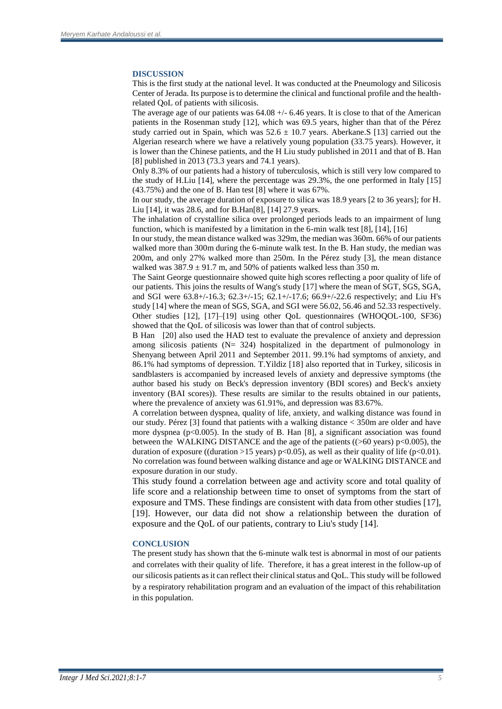# **DISCUSSION**

This is the first study at the national level. It was conducted at the Pneumology and Silicosis Center of Jerada. Its purpose is to determine the clinical and functional profile and the healthrelated QoL of patients with silicosis.

The average age of our patients was  $64.08 + (-6.46$  years. It is close to that of the American patients in the Rosenman study [12], which was 69.5 years, higher than that of the Pérez study carried out in Spain, which was  $52.6 \pm 10.7$  years. Aberkane. S [13] carried out the Algerian research where we have a relatively young population (33.75 years). However, it is lower than the Chinese patients, and the H Liu study published in 2011 and that of B. Han [8] published in 2013 (73.3 years and 74.1 years).

Only 8.3% of our patients had a history of tuberculosis, which is still very low compared to the study of H.Liu [14], where the percentage was 29.3%, the one performed in Italy [15] (43.75%) and the one of B. Han test [8] where it was 67%.

In our study, the average duration of exposure to silica was 18.9 years [2 to 36 years]; for H. Liu [14], it was 28.6, and for B.Han[8], [14] 27.9 years.

The inhalation of crystalline silica over prolonged periods leads to an impairment of lung function, which is manifested by a limitation in the 6-min walk test [8], [14], [16]

In our study, the mean distance walked was 329m, the median was 360m. 66% of our patients walked more than 300m during the 6-minute walk test. In the B. Han study, the median was 200m, and only 27% walked more than 250m. In the Pérez study [3], the mean distance walked was  $387.9 \pm 91.7$  m, and 50% of patients walked less than 350 m.

The Saint George questionnaire showed quite high scores reflecting a poor quality of life of our patients. This joins the results of Wang's study [17] where the mean of SGT, SGS, SGA, and SGI were 63.8+/-16.3; 62.3+/-15; 62.1+/-17.6; 66.9+/-22.6 respectively; and Liu H's study [14] where the mean of SGS, SGA, and SGI were 56.02, 56.46 and 52.33 respectively. Other studies [12], [17]–[19] using other QoL questionnaires (WHOQOL-100, SF36) showed that the QoL of silicosis was lower than that of control subjects.

B Han [20] also used the HAD test to evaluate the prevalence of anxiety and depression among silicosis patients (N= 324) hospitalized in the department of pulmonology in Shenyang between April 2011 and September 2011. 99.1% had symptoms of anxiety, and 86.1% had symptoms of depression. T.Yildiz [18] also reported that in Turkey, silicosis in sandblasters is accompanied by increased levels of anxiety and depressive symptoms (the author based his study on Beck's depression inventory (BDI scores) and Beck's anxiety inventory (BAI scores)). These results are similar to the results obtained in our patients, where the prevalence of anxiety was 61.91%, and depression was 83.67%.

A correlation between dyspnea, quality of life, anxiety, and walking distance was found in our study. Pérez [3] found that patients with a walking distance < 350m are older and have more dyspnea ( $p<0.005$ ). In the study of B. Han [8], a significant association was found between the WALKING DISTANCE and the age of the patients ( $(>60$  years) p $< 0.005$ ), the duration of exposure ((duration >15 years) p<0.05), as well as their quality of life (p<0.01). No correlation was found between walking distance and age or WALKING DISTANCE and exposure duration in our study.

This study found a correlation between age and activity score and total quality of life score and a relationship between time to onset of symptoms from the start of exposure and TMS. These findings are consistent with data from other studies [17], [19]. However, our data did not show a relationship between the duration of exposure and the QoL of our patients, contrary to Liu's study [14].

# **CONCLUSION**

The present study has shown that the 6-minute walk test is abnormal in most of our patients and correlates with their quality of life. Therefore, it has a great interest in the follow-up of our silicosis patients as it can reflect their clinical status and QoL. This study will be followed by a respiratory rehabilitation program and an evaluation of the impact of this rehabilitation in this population.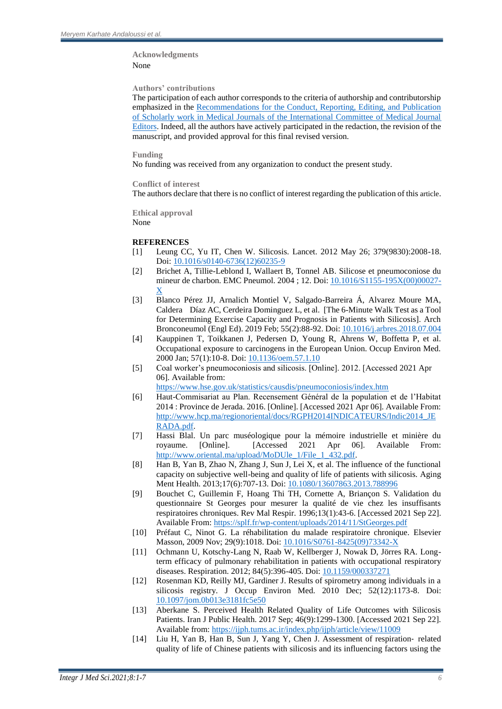# **Acknowledgments**  None

# **Authors' contributions**

The participation of each author corresponds to the criteria of authorship and contributorship emphasized in the Recommendations for [the Conduct, Reporting, Editing, and Publication](http://www.icmje.org/recommendations/browse/)  [of Scholarly work in Medical Journals of the International Committee of Medical Journal](http://www.icmje.org/recommendations/browse/)  [Editors.](http://www.icmje.org/recommendations/browse/) Indeed, all the authors have actively participated in the redaction, the revision of the manuscript, and provided approval for this final revised version.

# **Funding**

No funding was received from any organization to conduct the present study.

# **Conflict of interest**

The authors declare that there is no conflict of interest regarding the publication of this article.

**Ethical approval**  None

# **REFERENCES**

- [1] Leung CC, Yu IT, Chen W. Silicosis. Lancet. 2012 May 26; 379(9830):2008-18. Doi[: 10.1016/s0140-6736\(12\)60235-9](https://doi.org/10.1016/s0140-6736(12)60235-9)
- [2] Brichet A, Tillie-Leblond I, Wallaert B, Tonnel AB. Silicose et pneumoconiose du mineur de charbon. EMC Pneumol. 2004 ; 12. Doi: [10.1016/S1155-195X\(00\)00027-](http://dx.doi.org/10.1016/S1155-195X(00)00027-X) [X](http://dx.doi.org/10.1016/S1155-195X(00)00027-X)
- [3] Blanco Pérez JJ, Arnalich Montiel V, Salgado-Barreira Á, Alvarez Moure MA, Caldera Díaz AC, Cerdeira Dominguez L, et al. [The 6-Minute Walk Test as a Tool for Determining Exercise Capacity and Prognosis in Patients with Silicosis]. Arch Bronconeumol (Engl Ed). 2019 Feb; 55(2):88-92. Doi: [10.1016/j.arbres.2018.07.004](https://doi.org/10.1016/j.arbres.2018.07.004)
- [4] Kauppinen T, Toikkanen J, Pedersen D, Young R, Ahrens W, Boffetta P, et al. Occupational exposure to carcinogens in the European Union. Occup Environ Med. 2000 Jan; 57(1):10-8. Doi[: 10.1136/oem.57.1.10](https://doi.org/10.1136/oem.57.1.10)
- [5] Coal worker's pneumoconiosis and silicosis. [Online]. 2012. [Accessed 2021 Apr 06]. Available from: <https://www.hse.gov.uk/statistics/causdis/pneumoconiosis/index.htm>

[6] Haut-Commisariat au Plan. Recensement Général de la population et de l'Habitat 2014 : Province de Jerada. 2016. [Online]. [Accessed 2021 Apr 06]. Available From: [http://www.hcp.ma/regionoriental/docs/RGPH2014INDICATEURS/Indic2014\\_JE](http://www.hcp.ma/regionoriental/docs/RGPH2014INDICATEURS/Indic2014_JERADA.pdf) [RADA.pdf.](http://www.hcp.ma/regionoriental/docs/RGPH2014INDICATEURS/Indic2014_JERADA.pdf)

- [7] Hassi Blal. Un parc muséologique pour la mémoire industrielle et minière du royaume. [Online]. [Accessed 2021 Apr 06]. Available From: [http://www.oriental.ma/upload/MoDUle\\_1/File\\_1\\_432.pdf.](http://www.oriental.ma/upload/MoDUle_1/File_1_432.pdf)
- [8] Han B, Yan B, Zhao N, Zhang J, Sun J, Lei X, et al. The influence of the functional capacity on subjective well-being and quality of life of patients with silicosis. Aging Ment Health. 2013;17(6):707-13. Doi[: 10.1080/13607863.2013.788996](https://doi.org/10.1080/13607863.2013.788996)
- [9] Bouchet C, Guillemin F, Hoang Thi TH, Cornette A, Briançon S. Validation du questionnaire St Georges pour mesurer la qualité de vie chez les insuffisants respiratoires chroniques. Rev Mal Respir. 1996;13(1):43-6. [Accessed 2021 Sep 22]. Available From: <https://splf.fr/wp-content/uploads/2014/11/StGeorges.pdf>
- [10] Préfaut C, Ninot G. La réhabilitation du malade respiratoire chronique. Elsevier Masson, 2009 Nov; 29(9):1018. Doi: [10.1016/S0761-8425\(09\)73342-X](https://doi.org/10.1016/S0761-8425(09)73342-X)
- [11] Ochmann U, Kotschy-Lang N, Raab W, Kellberger J, Nowak D, Jörres RA. Longterm efficacy of pulmonary rehabilitation in patients with occupational respiratory diseases. Respiration. 2012; 84(5):396-405. Doi[: 10.1159/000337271](https://doi.org/10.1159/000337271)
- [12] Rosenman KD, Reilly MJ, Gardiner J. Results of spirometry among individuals in a silicosis registry. J Occup Environ Med. 2010 Dec; 52(12):1173-8. Doi: [10.1097/jom.0b013e3181fc5e50](https://doi.org/10.1097/jom.0b013e3181fc5e50)
- [13] Aberkane S. Perceived Health Related Quality of Life Outcomes with Silicosis Patients. Iran J Public Health. 2017 Sep; 46(9):1299-1300. [Accessed 2021 Sep 22]. Available from:<https://ijph.tums.ac.ir/index.php/ijph/article/view/11009>
- [14] Liu H, Yan B, Han B, Sun J, Yang Y, Chen J. Assessment of respiration‐ related quality of life of Chinese patients with silicosis and its influencing factors using the